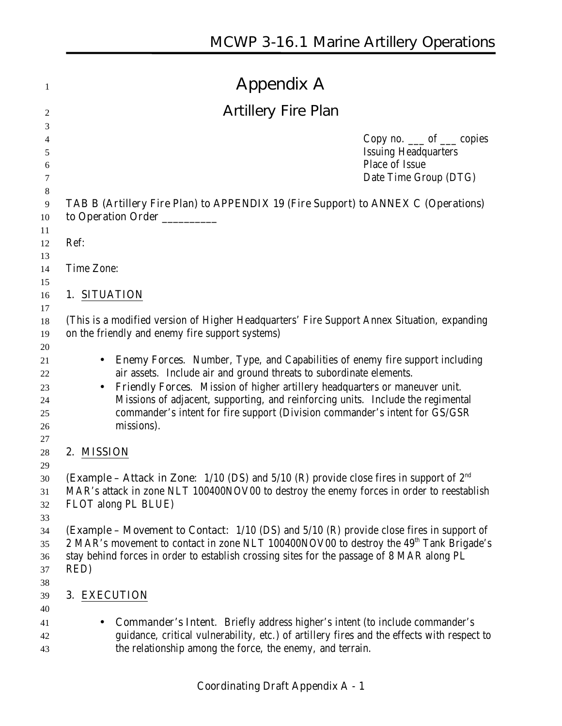|              | <b>Appendix A</b>                                                                                                                                                                                                                                                                                                                  |
|--------------|------------------------------------------------------------------------------------------------------------------------------------------------------------------------------------------------------------------------------------------------------------------------------------------------------------------------------------|
|              | <b>Artillery Fire Plan</b>                                                                                                                                                                                                                                                                                                         |
|              | Copy no. $\_\_$ of $\_\_$ copies<br><b>Issuing Headquarters</b><br>Place of Issue<br>Date Time Group (DTG)                                                                                                                                                                                                                         |
|              | TAB B (Artillery Fire Plan) to APPENDIX 19 (Fire Support) to ANNEX C (Operations)<br>to Operation Order ________                                                                                                                                                                                                                   |
| Ref:         |                                                                                                                                                                                                                                                                                                                                    |
| Time Zone:   |                                                                                                                                                                                                                                                                                                                                    |
| 1. SITUATION |                                                                                                                                                                                                                                                                                                                                    |
|              | (This is a modified version of Higher Headquarters' Fire Support Annex Situation, expanding<br>on the friendly and enemy fire support systems)<br><b>Enemy Forces.</b> Number, Type, and Capabilities of enemy fire support including                                                                                              |
|              | air assets. Include air and ground threats to subordinate elements.<br>Friendly Forces. Mission of higher artillery headquarters or maneuver unit.<br>Missions of adjacent, supporting, and reinforcing units. Include the regimental<br>commander's intent for fire support (Division commander's intent for GS/GSR<br>missions). |
| 2. MISSION   |                                                                                                                                                                                                                                                                                                                                    |
|              | <b>(Example – Attack in Zone:</b> $1/10$ (DS) and $5/10$ (R) provide close fires in support of $2^{nd}$<br>MAR's attack in zone NLT 100400NOV00 to destroy the enemy forces in order to reestablish<br>FLOT along PL BLUE)                                                                                                         |
| RED)         | (Example - Movement to Contact: 1/10 (DS) and 5/10 (R) provide close fires in support of<br>2 MAR's movement to contact in zone NLT 100400NOV00 to destroy the 49 <sup>th</sup> Tank Brigade's<br>stay behind forces in order to establish crossing sites for the passage of 8 MAR along PL                                        |
|              | 3. EXECUTION                                                                                                                                                                                                                                                                                                                       |
| $\bullet$    | <b>Commander's Intent.</b> Briefly address higher's intent (to include commander's<br>guidance, critical vulnerability, etc.) of artillery fires and the effects with respect to<br>the relationship among the force, the enemy, and terrain.                                                                                      |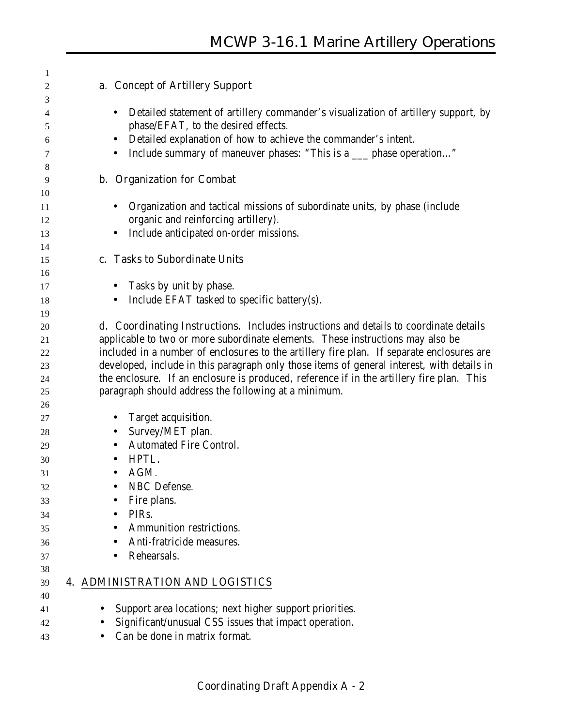| 1              |                                                                                                                                                                                       |
|----------------|---------------------------------------------------------------------------------------------------------------------------------------------------------------------------------------|
| 2              | a. Concept of Artillery Support                                                                                                                                                       |
| 3<br>4<br>5    | Detailed statement of artillery commander's visualization of artillery support, by<br>$\bullet$<br>phase/EFAT, to the desired effects.                                                |
| 6              | Detailed explanation of how to achieve the commander's intent.                                                                                                                        |
| 7              | Include summary of maneuver phases: "This is a ___ phase operation"<br>$\bullet$                                                                                                      |
| 8              |                                                                                                                                                                                       |
| 9<br>10        | <b>b.</b> Organization for Combat                                                                                                                                                     |
| 11<br>12<br>13 | Organization and tactical missions of subordinate units, by phase (include<br>$\bullet$<br>organic and reinforcing artillery).<br>Include anticipated on-order missions.<br>$\bullet$ |
| 14             |                                                                                                                                                                                       |
| 15             | c. Tasks to Subordinate Units                                                                                                                                                         |
| 16<br>17       | Tasks by unit by phase.<br>$\bullet$                                                                                                                                                  |
| 18             | Include EFAT tasked to specific battery(s).<br>$\bullet$                                                                                                                              |
| 19             |                                                                                                                                                                                       |
| 20             | <b>d. Coordinating Instructions.</b> Includes instructions and details to coordinate details                                                                                          |
| 21             | applicable to two or more subordinate elements. These instructions may also be                                                                                                        |
| 22             | included in a number of enclosures to the artillery fire plan. If separate enclosures are                                                                                             |
| 23             | developed, include in this paragraph only those items of general interest, with details in                                                                                            |
| 24             | the enclosure. If an enclosure is produced, reference if in the artillery fire plan. This                                                                                             |
| 25             | paragraph should address the following at a minimum.                                                                                                                                  |
| 26             |                                                                                                                                                                                       |
| 27             | Target acquisition.<br>$\bullet$                                                                                                                                                      |
| 28             | Survey/MET plan.<br>$\bullet$                                                                                                                                                         |
| 29             | <b>Automated Fire Control.</b><br>$\bullet$                                                                                                                                           |
| 30             | HPTL.<br>$\bullet$                                                                                                                                                                    |
| 31             | AGM.<br>$\bullet$                                                                                                                                                                     |
| 32             | NBC Defense.                                                                                                                                                                          |
| 33             | Fire plans.                                                                                                                                                                           |
| 34             | PIRs.                                                                                                                                                                                 |
| 35             | <b>Ammunition restrictions.</b>                                                                                                                                                       |
| 36             | Anti-fratricide measures.                                                                                                                                                             |
| 37             | Rehearsals.                                                                                                                                                                           |
| 38             | <b>4. ADMINISTRATION AND LOGISTICS</b>                                                                                                                                                |
| 39<br>40       |                                                                                                                                                                                       |
| 41             | Support area locations; next higher support priorities.                                                                                                                               |
| 42             | Significant/unusual CSS issues that impact operation.                                                                                                                                 |
| 43             | Can be done in matrix format.                                                                                                                                                         |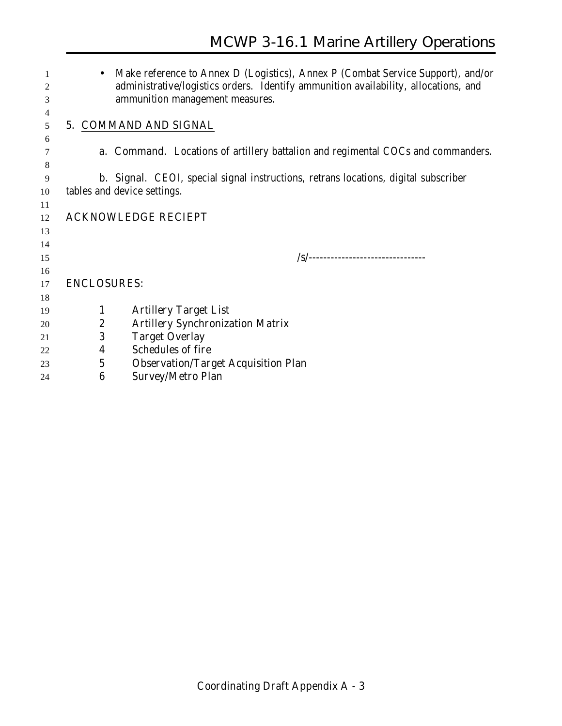|    |                    | Make reference to Annex D (Logistics), Annex P (Combat Service Support), and/or            |
|----|--------------------|--------------------------------------------------------------------------------------------|
| 2  |                    | administrative/logistics orders. Identify ammunition availability, allocations, and        |
| 3  |                    | ammunition management measures.                                                            |
| 4  |                    |                                                                                            |
| 5  |                    | 5. COMMAND AND SIGNAL                                                                      |
| 6  |                    |                                                                                            |
|    |                    | <b>a. Command.</b> Locations of artillery battalion and regimental COCs and commanders.    |
| 8  |                    |                                                                                            |
| 9  |                    | <b>b. Signal.</b> CEOI, special signal instructions, retrans locations, digital subscriber |
| 10 |                    | tables and device settings.                                                                |
| 11 |                    |                                                                                            |
| 12 |                    | <b>ACKNOWLEDGE RECIEPT</b>                                                                 |
| 13 |                    |                                                                                            |
| 14 |                    |                                                                                            |
| 15 |                    | /s/--------------------------------                                                        |
| 16 |                    |                                                                                            |
| 17 | <b>ENCLOSURES:</b> |                                                                                            |
| 18 |                    |                                                                                            |
| 19 | 1                  | <b>Artillery Target List</b>                                                               |
| 20 | 2                  | <b>Artillery Synchronization Matrix</b>                                                    |
| 21 | 3                  | <b>Target Overlay</b>                                                                      |
| 22 | $\boldsymbol{4}$   | <b>Schedules of fire</b>                                                                   |
| 23 | $\mathbf 5$        | <b>Observation/Target Acquisition Plan</b>                                                 |

**6 Survey/Metro Plan**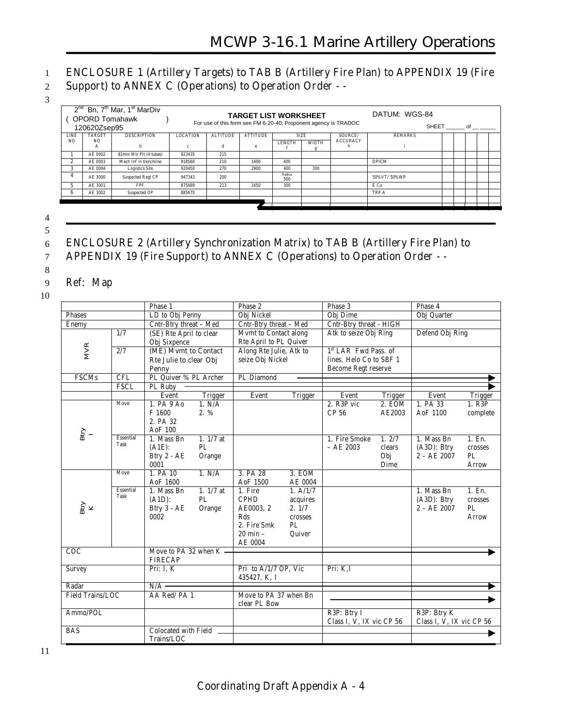# 1 **ENCLOSURE 1 (Artillery Targets) to TAB B (Artillery Fire Plan) to APPENDIX 19 (Fire**

- 2 **Support) to ANNEX C (Operations) to Operation Order -**
- 3

|                | <b>OPORD Tomahawk</b><br>120620Zsep95 | $2^{nd}$ Bn, $7^{th}$ Mar, $1^{st}$ MarDiv |          | For use of this form see FM 6-20-40; Proponent agency is TRADOC | <b>TARGET LIST WORKSHEET</b> |               |              |                 | DATUM: WGS-84  | SHEET of |  |
|----------------|---------------------------------------|--------------------------------------------|----------|-----------------------------------------------------------------|------------------------------|---------------|--------------|-----------------|----------------|----------|--|
| LINE           | TARGET                                | <b>DESCRIPTION</b>                         | LOCATION | <b>ALTITUDE</b>                                                 | <b>ATTITUDE</b>              | <b>SIZE</b>   |              | SOURCE/         | <b>REMARKS</b> |          |  |
| N <sub>O</sub> | N <sub>O</sub><br>А                   | h.                                         | c        | d                                                               | e                            | <b>LENGTH</b> | <b>WIDTH</b> | <b>ACCURACY</b> |                |          |  |
|                | AE 0002                               | 82mm Mtr Plt (4 tubes)                     | 923435   | 215                                                             |                              |               |              |                 |                |          |  |
| $\mathbf{2}$   | AE 0003                               | Mech Inf in trenchline                     | 918560   | 210                                                             | 1600                         | 400           |              |                 | <b>DPICM</b>   |          |  |
|                | AE 0004                               | <b>Logistics Site</b>                      | 920450   | 270                                                             | 2900                         | 400           | 300          |                 |                |          |  |
|                | AE 3000                               | Suspected Regt CP                          | 947343   | 200                                                             |                              | Radius<br>500 |              |                 | 50%VT/50%WP    |          |  |
|                | AE 3001                               | <b>FPF</b>                                 | 875689   | 213                                                             | 1650                         | 300           |              |                 | E Co           |          |  |
| 6              | AE 3002                               | Suspected OP                               | 885670   |                                                                 |                              |               |              |                 | TRP A          |          |  |
|                |                                       |                                            |          |                                                                 |                              |               |              |                 |                |          |  |
|                |                                       |                                            |          |                                                                 |                              |               |              |                 |                |          |  |
|                |                                       |                                            |          |                                                                 |                              |               |              |                 |                |          |  |

4 5

# 6 **ENCLOSURE 2 (Artillery Synchronization Matrix) to TAB B (Artillery Fire Plan) to**

7 **APPENDIX 19 (Fire Support) to ANNEX C (Operations) to Operation Order - -**

#### 9 Ref: Map

10

8

|                         |                  | Phase 1                     |                | Phase 2                 |                | Phase 3                  |                 | Phase 4                      |               |  |
|-------------------------|------------------|-----------------------------|----------------|-------------------------|----------------|--------------------------|-----------------|------------------------------|---------------|--|
| <b>Phases</b>           |                  | LD to Obj Penny             |                | Obj Nickel              |                | Obj Dime                 |                 | Obj Quarter                  |               |  |
| Enemy                   |                  | Cntr-Btry threat - Med      |                | Cntr-Btry threat - Med  |                | Cntr-Btry threat - HIGH  |                 |                              |               |  |
|                         | 1/7              | (SE) Rte April to clear     |                | Mvmt to Contact along   |                | Atk to seize Obj Ring    |                 | Defend Obj Ring              |               |  |
|                         |                  | Obj Sixpence                |                | Rte April to PL Quiver  |                |                          |                 |                              |               |  |
| <b>MVR</b>              | $\overline{2/7}$ | (ME) Mvmt to Contact        |                | Along Rte Julie, Atk to |                | 1st LAR Fwd Pass, of     |                 |                              |               |  |
|                         |                  | Rte Julie to clear Obj      |                | seize Obj Nickel        |                | lines. Helo Co to SBF 1  |                 |                              |               |  |
|                         |                  | <b>Penny</b>                |                |                         |                | Become Regt reserve      |                 |                              |               |  |
| <b>FSCMs</b>            | CFL              | PL Quiver % PL Archer       |                | PL Diamond              |                |                          |                 |                              |               |  |
|                         | <b>FSCL</b>      | PL Ruby                     |                |                         |                |                          |                 |                              |               |  |
|                         |                  | Event                       | <b>Trigger</b> | Event                   | <b>Trigger</b> | Event                    | <b>Trigger</b>  | Event                        | Trigger       |  |
|                         | Move             | 1. PA 9 Ao                  | 1. N/A         |                         |                | 2. R3P vic               | 2. EOM          | 1. PA 33                     | 1. R3P        |  |
|                         |                  | F 1600                      | $2. \%$        |                         |                | CP 56                    | AE2003          | AoF 1100                     | complete      |  |
|                         |                  | 2. PA 32                    |                |                         |                |                          |                 |                              |               |  |
| $\lim_{I}$              | Essential        | AoF 100                     |                |                         |                |                          |                 |                              |               |  |
|                         | Task             | 1. Mass Bn                  | $1.1/7$ at     |                         |                | 1. Fire Smoke            | 1.2/7<br>clears | 1. Mass Bn                   | 1. En.        |  |
|                         |                  | $(A1E)$ :                   | PL             |                         |                | $-AE 2003$               |                 | (A3D): Btry<br>$2 - AE$ 2007 | crosses<br>PL |  |
|                         |                  | Btry 2 - AE<br>0001         | Orange         |                         |                |                          | Obj<br>Dime     |                              | Arrow         |  |
|                         | Move             | 1. PA 10                    | 1. N/A         | 3. PA 28                | 3. EOM         |                          |                 |                              |               |  |
|                         |                  | AoF 1600                    |                | AoF 1500                | AE 0004        |                          |                 |                              |               |  |
|                         | Essential        | 1. Mass Bn                  | 1. $1/7$ at    | 1. Fire                 | 1. A/1/7       |                          |                 | 1. Mass Bn                   | 1. En.        |  |
|                         | Task             | $(A1D)$ :                   | PL             | <b>CPHD</b>             | acquires       |                          |                 | $(A3D)$ : Btry               | crosses       |  |
| $_{\rm K}^{\rm Bity}$   |                  | Btry 3 - AE                 | Orange         | AE0003, 2               | 2.1/7          |                          |                 | $2 - AE$ 2007                | PL            |  |
|                         |                  | 0002                        |                | Rds                     | crosses        |                          |                 |                              | Arrow         |  |
|                         |                  |                             |                | 2. Fire Smk             | PL.            |                          |                 |                              |               |  |
|                         |                  |                             |                | $20$ min $-$            | Quiver         |                          |                 |                              |               |  |
|                         |                  |                             |                | AE 0004                 |                |                          |                 |                              |               |  |
| COC                     |                  | Move to PA 32 when K -      |                |                         |                |                          |                 |                              |               |  |
|                         |                  | <b>FIRECAP</b>              |                |                         |                |                          |                 |                              |               |  |
| Survey                  |                  | Pri: I, K                   |                | Pri to A/1/7 OP, Vic    |                | Pri: K.I                 |                 |                              |               |  |
|                         |                  |                             |                | 435427, K, I            |                |                          |                 |                              |               |  |
| Radar                   |                  | $N/A$ –                     |                |                         |                |                          |                 |                              |               |  |
| <b>Field Trains/LOC</b> |                  | AA Red/PA 1                 |                | Move to PA 37 when Bn   |                |                          |                 |                              |               |  |
| Ammo/POL                |                  |                             |                | clear PL Bow            |                |                          |                 |                              |               |  |
|                         |                  |                             |                |                         |                | R3P: Btry I              |                 | R3P: Btry K                  |               |  |
| <b>BAS</b>              |                  | <b>Colocated with Field</b> |                |                         |                | Class I, V, IX vic CP 56 |                 | Class I, V, IX vic CP 56     |               |  |
|                         |                  | Trains/LOC                  |                |                         |                |                          |                 |                              |               |  |
|                         |                  |                             |                |                         |                |                          |                 |                              |               |  |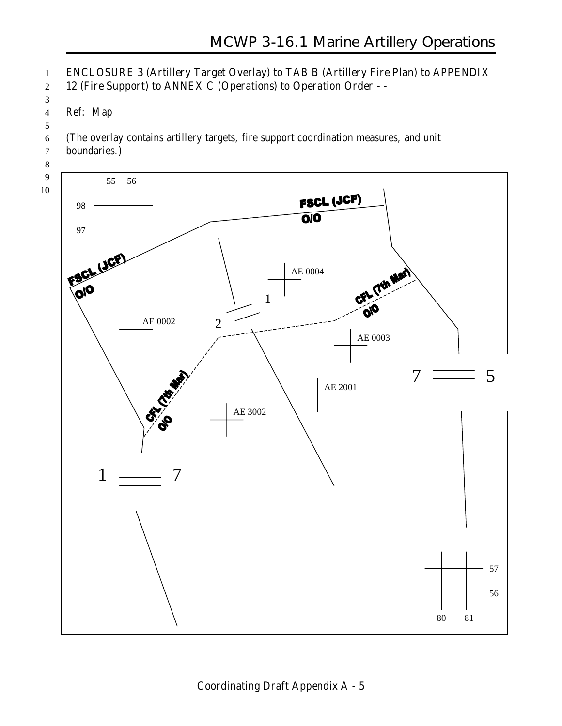## **ENCLOSURE 3 (Artillery Target Overlay) to TAB B (Artillery Fire Plan) to APPENDIX 12 (Fire Support) to ANNEX C (Operations) to Operation Order - -**

 Ref: Map

(The overlay contains artillery targets, fire support coordination measures, and unit

- boundaries.)
- 
- 

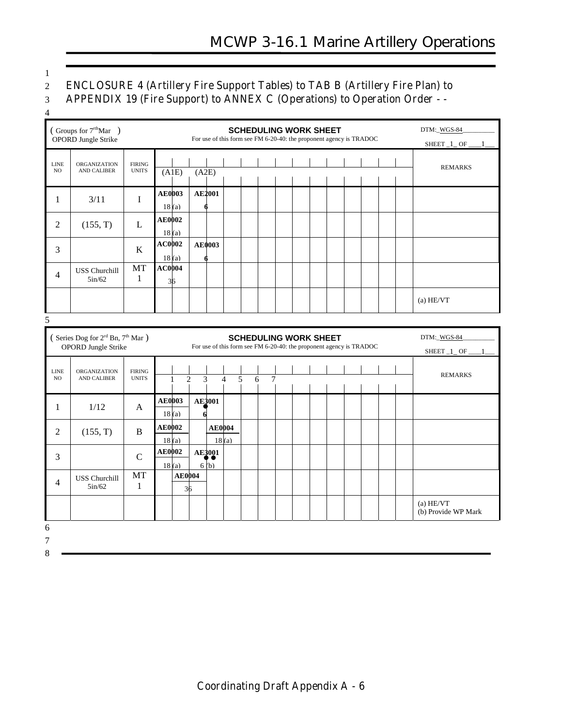1

### 2 **ENCLOSURE 4 (Artillery Fire Support Tables) to TAB B (Artillery Fire Plan) to**

| APPENDIX 19 (Fire Support) to ANNEX C (Operations) to Operation Order - - |  |  |
|---------------------------------------------------------------------------|--|--|

4

|                    | (Groups for $7rthMar$ )<br>OPORD Jungle Strike                                  |                               |                        |                     |                       |                |   | <b>SCHEDULING WORK SHEET</b><br>For use of this form see FM 6-20-40: the proponent agency is TRADOC |  |  |  |  | DTM:_WGS-84<br>SHEET_1_OF_       |
|--------------------|---------------------------------------------------------------------------------|-------------------------------|------------------------|---------------------|-----------------------|----------------|---|-----------------------------------------------------------------------------------------------------|--|--|--|--|----------------------------------|
| <b>LINE</b><br>NO  | <b>ORGANIZATION</b><br>AND CALIBER                                              | <b>FIRING</b><br><b>UNITS</b> | (A1E)                  | (A2E)               |                       |                |   |                                                                                                     |  |  |  |  | <b>REMARKS</b>                   |
| $\mathbf{1}$       | 3/11                                                                            | $\mathbf I$                   | <b>AE0003</b><br>18(a) |                     | <b>AE2001</b>         |                |   |                                                                                                     |  |  |  |  |                                  |
| $\overline{2}$     | (155, T)                                                                        | L                             | <b>AE0002</b><br>18(a) |                     |                       |                |   |                                                                                                     |  |  |  |  |                                  |
| 3                  |                                                                                 | $\bf K$                       | AC0002<br>18(a)        |                     | <b>AE0003</b>         |                |   |                                                                                                     |  |  |  |  |                                  |
| $\overline{4}$     | <b>USS Churchill</b><br>5in/62                                                  | MT<br>$\mathbf{1}$            | <b>AC0004</b><br>36    |                     |                       |                |   |                                                                                                     |  |  |  |  |                                  |
|                    |                                                                                 |                               |                        |                     |                       |                |   |                                                                                                     |  |  |  |  | (a) HE/VT                        |
| 5                  |                                                                                 |                               |                        |                     |                       |                |   |                                                                                                     |  |  |  |  |                                  |
|                    | (Series Dog for 2 <sup>rd</sup> Bn, 7 <sup>th</sup> Mar)<br>OPORD Jungle Strike |                               |                        |                     |                       |                |   | <b>SCHEDULING WORK SHEET</b><br>For use of this form see FM 6-20-40: the proponent agency is TRADOC |  |  |  |  | DTM:_WGS-84<br>SHEET_1_OF        |
| <b>LINE</b><br>NO. | <b>ORGANIZATION</b><br>AND CALIBER                                              | <b>FIRING</b><br><b>UNITS</b> | $\mathbf{1}$           | 3<br>$\overline{2}$ |                       | $\overline{4}$ | 5 | $\tau$<br>6                                                                                         |  |  |  |  | <b>REMARKS</b>                   |
| $\mathbf{1}$       | 1/12                                                                            | A                             | <b>AE0003</b><br>18(a) | $\mathbf{d}$        | AE3001                |                |   |                                                                                                     |  |  |  |  |                                  |
| $\overline{2}$     | (155, T)                                                                        | $\, {\bf B}$                  | <b>AE0002</b><br>18(a) |                     | <b>AE0004</b>         | 18(a)          |   |                                                                                                     |  |  |  |  |                                  |
| 3                  |                                                                                 | $\overline{C}$                | <b>AE0002</b><br>18(a) |                     | <b>AE3001</b><br>6(b) |                |   |                                                                                                     |  |  |  |  |                                  |
| $\overline{4}$     | <b>USS Churchill</b><br>5in/62                                                  | <b>MT</b><br>$\mathbf{1}$     |                        | <b>AE0004</b><br>36 |                       |                |   |                                                                                                     |  |  |  |  |                                  |
|                    |                                                                                 |                               |                        |                     |                       |                |   |                                                                                                     |  |  |  |  | (a) HE/VT<br>(b) Provide WP Mark |
| 6                  |                                                                                 |                               |                        |                     |                       |                |   |                                                                                                     |  |  |  |  |                                  |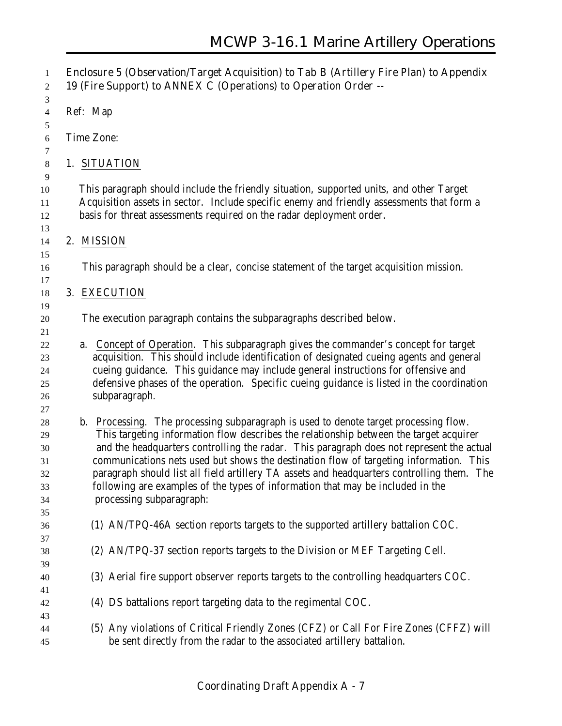| 1<br>$\overline{c}$                                | Enclosure 5 (Observation/Target Acquisition) to Tab B (Artillery Fire Plan) to Appendix<br>19 (Fire Support) to ANNEX C (Operations) to Operation Order --                                                                                                                                                                                                                                                                                                                                                                                                                       |
|----------------------------------------------------|----------------------------------------------------------------------------------------------------------------------------------------------------------------------------------------------------------------------------------------------------------------------------------------------------------------------------------------------------------------------------------------------------------------------------------------------------------------------------------------------------------------------------------------------------------------------------------|
| 3<br>4                                             | Ref: Map                                                                                                                                                                                                                                                                                                                                                                                                                                                                                                                                                                         |
| 5<br>6                                             | Time Zone:                                                                                                                                                                                                                                                                                                                                                                                                                                                                                                                                                                       |
| 7<br>$\,8\,$                                       | 1. SITUATION                                                                                                                                                                                                                                                                                                                                                                                                                                                                                                                                                                     |
| 9<br>10<br>11<br>12                                | This paragraph should include the friendly situation, supported units, and other Target<br>Acquisition assets in sector. Include specific enemy and friendly assessments that form a<br>basis for threat assessments required on the radar deployment order.                                                                                                                                                                                                                                                                                                                     |
| 13<br>14                                           | 2. MISSION                                                                                                                                                                                                                                                                                                                                                                                                                                                                                                                                                                       |
| 15<br>16<br>17                                     | This paragraph should be a clear, concise statement of the target acquisition mission.                                                                                                                                                                                                                                                                                                                                                                                                                                                                                           |
| 18<br>19                                           | 3. EXECUTION                                                                                                                                                                                                                                                                                                                                                                                                                                                                                                                                                                     |
| 20<br>21                                           | The execution paragraph contains the subparagraphs described below.                                                                                                                                                                                                                                                                                                                                                                                                                                                                                                              |
| 22<br>23<br>24<br>25<br>26                         | a. Concept of Operation. This subparagraph gives the commander's concept for target<br>acquisition. This should include identification of designated cueing agents and general<br>cueing guidance. This guidance may include general instructions for offensive and<br>defensive phases of the operation. Specific cueing guidance is listed in the coordination<br>subparagraph.                                                                                                                                                                                                |
| 27<br>28<br>29<br>30<br>31<br>32<br>33<br>34<br>35 | b. Processing. The processing subparagraph is used to denote target processing flow.<br>This targeting information flow describes the relationship between the target acquirer<br>and the headquarters controlling the radar. This paragraph does not represent the actual<br>communications nets used but shows the destination flow of targeting information. This<br>paragraph should list all field artillery TA assets and headquarters controlling them. The<br>following are examples of the types of information that may be included in the<br>processing subparagraph: |
| 36                                                 | (1) AN/TPQ-46A section reports targets to the supported artillery battalion COC.                                                                                                                                                                                                                                                                                                                                                                                                                                                                                                 |
| 37<br>38<br>39                                     | (2) AN/TPQ-37 section reports targets to the Division or MEF Targeting Cell.                                                                                                                                                                                                                                                                                                                                                                                                                                                                                                     |
| 40<br>41                                           | (3) Aerial fire support observer reports targets to the controlling headquarters COC.                                                                                                                                                                                                                                                                                                                                                                                                                                                                                            |
| 42<br>43                                           | (4) DS battalions report targeting data to the regimental COC.                                                                                                                                                                                                                                                                                                                                                                                                                                                                                                                   |
| 44<br>45                                           | (5) Any violations of Critical Friendly Zones (CFZ) or Call For Fire Zones (CFFZ) will<br>be sent directly from the radar to the associated artillery battalion.                                                                                                                                                                                                                                                                                                                                                                                                                 |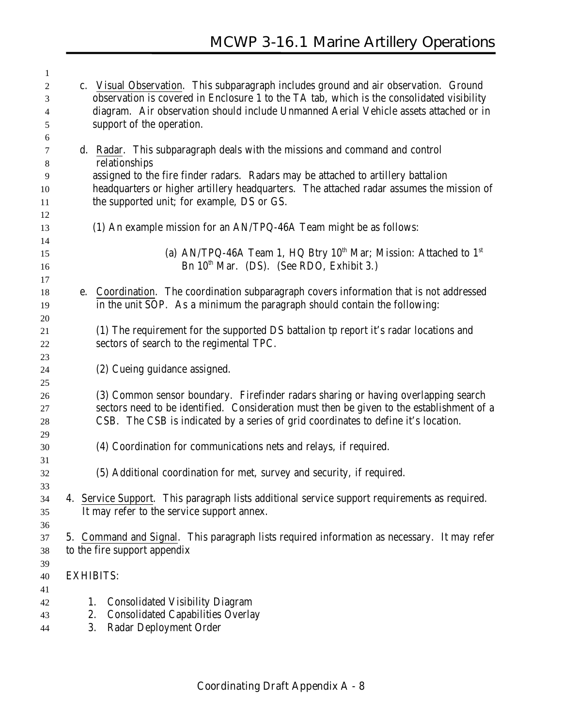| 1              |                  |                                                                                               |
|----------------|------------------|-----------------------------------------------------------------------------------------------|
| $\overline{c}$ |                  | c. Visual Observation. This subparagraph includes ground and air observation. Ground          |
| 3              |                  | observation is covered in Enclosure 1 to the TA tab, which is the consolidated visibility     |
| 4              |                  | diagram. Air observation should include Unmanned Aerial Vehicle assets attached or in         |
| 5              |                  | support of the operation.                                                                     |
| 6              |                  |                                                                                               |
| 7              |                  | d. Radar. This subparagraph deals with the missions and command and control                   |
| 8              |                  | relationships                                                                                 |
| 9              |                  | assigned to the fire finder radars. Radars may be attached to artillery battalion             |
| 10             |                  | headquarters or higher artillery headquarters. The attached radar assumes the mission of      |
| 11             |                  | the supported unit; for example, DS or GS.                                                    |
| 12             |                  |                                                                                               |
| 13             |                  | (1) An example mission for an AN/TPQ-46A Team might be as follows:                            |
| 14             |                  |                                                                                               |
| 15             |                  | (a) AN/TPQ-46A Team 1, HQ Btry $10^{th}$ Mar; Mission: Attached to $1^{st}$                   |
| 16             |                  | Bn $10th$ Mar. (DS). (See RDO, Exhibit 3.)                                                    |
| 17             |                  |                                                                                               |
| 18             |                  | e. Coordination. The coordination subparagraph covers information that is not addressed       |
| 19             |                  | in the unit SOP. As a minimum the paragraph should contain the following:                     |
| 20             |                  |                                                                                               |
| 21             |                  | (1) The requirement for the supported DS battalion tp report it's radar locations and         |
| 22             |                  | sectors of search to the regimental TPC.                                                      |
| 23             |                  |                                                                                               |
| 24             |                  | (2) Cueing guidance assigned.                                                                 |
| 25             |                  |                                                                                               |
| 26             |                  | (3) Common sensor boundary. Firefinder radars sharing or having overlapping search            |
| 27             |                  | sectors need to be identified. Consideration must then be given to the establishment of a     |
| 28             |                  | CSB. The CSB is indicated by a series of grid coordinates to define it's location.            |
| 29             |                  |                                                                                               |
| 30             |                  | (4) Coordination for communications nets and relays, if required.                             |
| 31             |                  |                                                                                               |
| 32             |                  | (5) Additional coordination for met, survey and security, if required.                        |
| 33             |                  |                                                                                               |
| 34             |                  | 4. Service Support. This paragraph lists additional service support requirements as required. |
| 35             |                  | It may refer to the service support annex.                                                    |
| 36             |                  |                                                                                               |
| 37             |                  | 5. Command and Signal. This paragraph lists required information as necessary. It may refer   |
| 38             |                  | to the fire support appendix                                                                  |
| 39             |                  |                                                                                               |
| 40             | <b>EXHIBITS:</b> |                                                                                               |
| 41             |                  |                                                                                               |
| 42             | 1.               | <b>Consolidated Visibility Diagram</b>                                                        |
| 43             | 2.               | <b>Consolidated Capabilities Overlay</b>                                                      |
| 44             | 3.               | Radar Deployment Order                                                                        |
|                |                  |                                                                                               |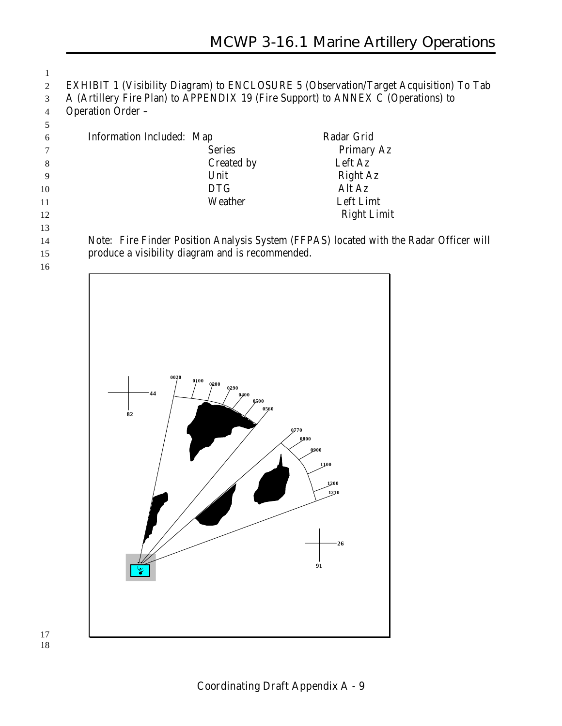EXHIBIT 1 (Visibility Diagram) to ENCLOSURE 5 (Observation/Target Acquisition) To Tab A (Artillery Fire Plan) to APPENDIX 19 (Fire Support) to ANNEX C (Operations) to Operation Order –

| -6  | Information Included: Map | Radar Grid         |
|-----|---------------------------|--------------------|
|     | <b>Series</b>             | Primary Az         |
| 8   | Created by                | Left Az            |
| - 9 | Unit                      | <b>Right Az</b>    |
| 10  | <b>DTG</b>                | Alt Az             |
| 11  | Weather                   | Left Limt          |
| 12  |                           | <b>Right Limit</b> |

 Note: Fire Finder Position Analysis System (FFPAS) located with the Radar Officer will produce a visibility diagram and is recommended.



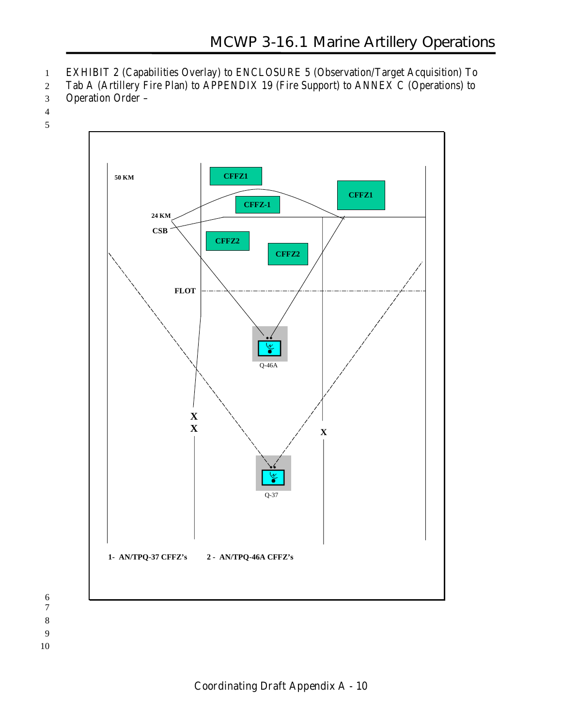- 1 EXHIBIT 2 (Capabilities Overlay) to ENCLOSURE 5 (Observation/Target Acquisition) To
- 2 Tab A (Artillery Fire Plan) to APPENDIX 19 (Fire Support) to ANNEX C (Operations) to
- 3 Operation Order –
- 4
- 5

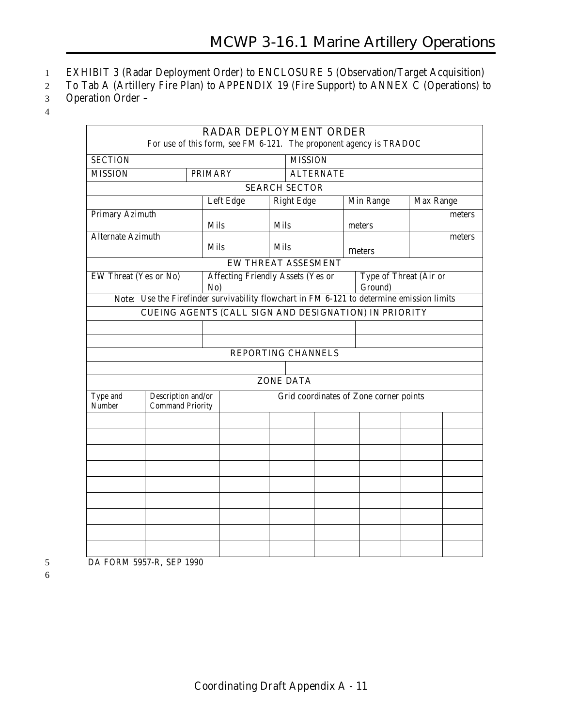- 1 EXHIBIT 3 (Radar Deployment Order) to ENCLOSURE 5 (Observation/Target Acquisition)
- 2 To Tab A (Artillery Fire Plan) to APPENDIX 19 (Fire Support) to ANNEX C (Operations) to
- 3 Operation Order –
- 4

|                              |                                                                                           |                |           |             | <b>RADAR DEPLOYMENT ORDER</b>            | For use of this form, see FM 6-121. The proponent agency is TRADOC |           |        |
|------------------------------|-------------------------------------------------------------------------------------------|----------------|-----------|-------------|------------------------------------------|--------------------------------------------------------------------|-----------|--------|
| <b>SECTION</b>               |                                                                                           |                |           |             | <b>MISSION</b>                           |                                                                    |           |        |
| <b>MISSION</b>               |                                                                                           | <b>PRIMARY</b> |           |             | <b>ALTERNATE</b>                         |                                                                    |           |        |
|                              |                                                                                           |                |           |             | <b>SEARCH SECTOR</b>                     |                                                                    |           |        |
|                              |                                                                                           |                | Left Edge |             | <b>Right Edge</b>                        | Min Range                                                          | Max Range |        |
| <b>Primary Azimuth</b>       |                                                                                           |                |           |             |                                          |                                                                    |           | meters |
|                              |                                                                                           | <b>Mils</b>    |           | Mils        |                                          | meters                                                             |           |        |
| <b>Alternate Azimuth</b>     |                                                                                           | Mils           |           | <b>Mils</b> |                                          | meters                                                             |           | meters |
|                              |                                                                                           |                |           |             | <b>EW THREAT ASSESMENT</b>               |                                                                    |           |        |
| <b>EW Threat (Yes or No)</b> |                                                                                           | No)            |           |             | <b>Affecting Friendly Assets (Yes or</b> | Type of Threat (Air or<br>Ground)                                  |           |        |
|                              | Note: Use the Firefinder survivability flowchart in FM 6-121 to determine emission limits |                |           |             |                                          |                                                                    |           |        |
|                              |                                                                                           |                |           |             |                                          | <b>CUEING AGENTS (CALL SIGN AND DESIGNATION) IN PRIORITY</b>       |           |        |
|                              |                                                                                           |                |           |             |                                          |                                                                    |           |        |
|                              |                                                                                           |                |           |             |                                          |                                                                    |           |        |
|                              |                                                                                           |                |           |             | <b>REPORTING CHANNELS</b>                |                                                                    |           |        |
|                              |                                                                                           |                |           |             |                                          |                                                                    |           |        |
|                              |                                                                                           |                |           |             | <b>ZONE DATA</b>                         |                                                                    |           |        |
| Type and<br>Number           | Description and/or<br><b>Command Priority</b>                                             |                |           |             |                                          | Grid coordinates of Zone corner points                             |           |        |
|                              |                                                                                           |                |           |             |                                          |                                                                    |           |        |
|                              |                                                                                           |                |           |             |                                          |                                                                    |           |        |
|                              |                                                                                           |                |           |             |                                          |                                                                    |           |        |
|                              |                                                                                           |                |           |             |                                          |                                                                    |           |        |
|                              |                                                                                           |                |           |             |                                          |                                                                    |           |        |
|                              |                                                                                           |                |           |             |                                          |                                                                    |           |        |
|                              |                                                                                           |                |           |             |                                          |                                                                    |           |        |
|                              |                                                                                           |                |           |             |                                          |                                                                    |           |        |
|                              |                                                                                           |                |           |             |                                          |                                                                    |           |        |
|                              |                                                                                           |                |           |             |                                          |                                                                    |           |        |
|                              |                                                                                           |                |           |             |                                          |                                                                    |           |        |